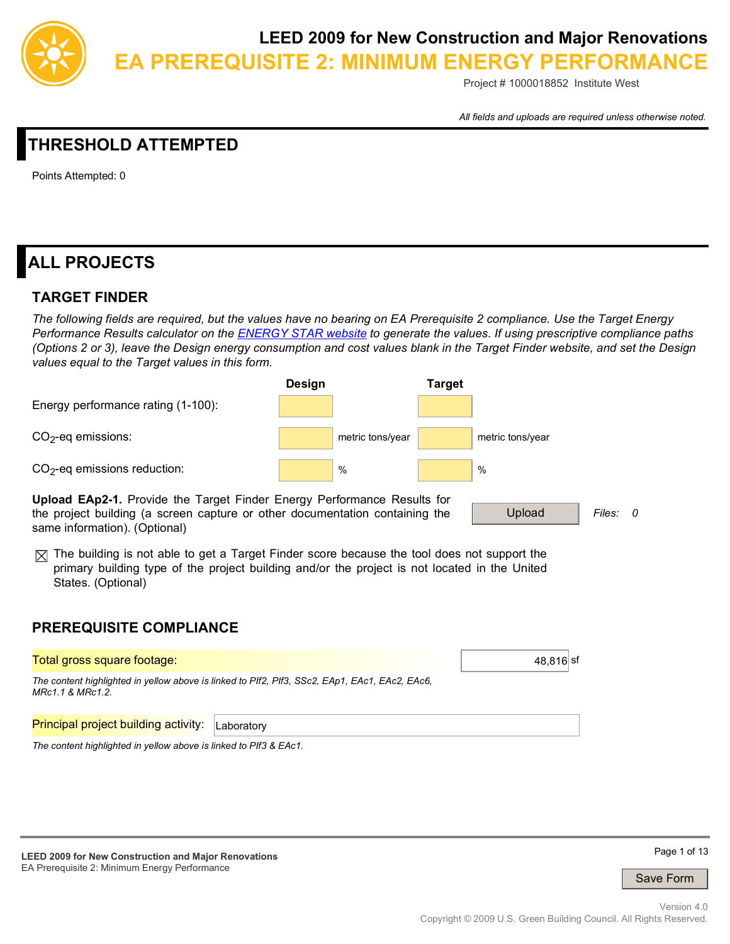

**EA PREREQUISITE 2: MINIMUM ENERGY PERFORMANCE**

Project # 1000018852 Institute West

*All fields and uploads are required unless otherwise noted.*

# **THRESHOLD ATTEMPTED**

Points Attempted: 0

# **ALL PROJECTS**

### **TARGET FINDER**

*The following fields are required, but the values have no bearing on EA Prerequisite 2 compliance. Use the Target Energy Performance Results calculator on the ENERGY STAR website to generate the values. If using prescriptive compliance paths (Options 2 or 3), leave the Design energy consumption and cost values blank in the Target Finder website, and set the Design values equal to the Target values in this form.*



 $\boxtimes$  The building is not able to get a Target Finder score because the tool does not support the primary building type of the project building and/or the project is not located in the United States. (Optional)

## **PREREQUISITE COMPLIANCE**

| Total gross square footage:                                       |                                                                                                | 48.816 sf |
|-------------------------------------------------------------------|------------------------------------------------------------------------------------------------|-----------|
| MRc1.1 & MRc1.2.                                                  | The content highlighted in yellow above is linked to PIf2, PIf3, SSc2, EAp1, EAc1, EAc2, EAc6, |           |
| <b>Principal project building activity:</b>                       | Laboratory                                                                                     |           |
| The content highlighted in yellow above is linked to PIf3 & EAc1. |                                                                                                |           |

**LEED 2009 for New Construction and Major Renovations**  EA Prerequisite 2: Minimum Energy Performance



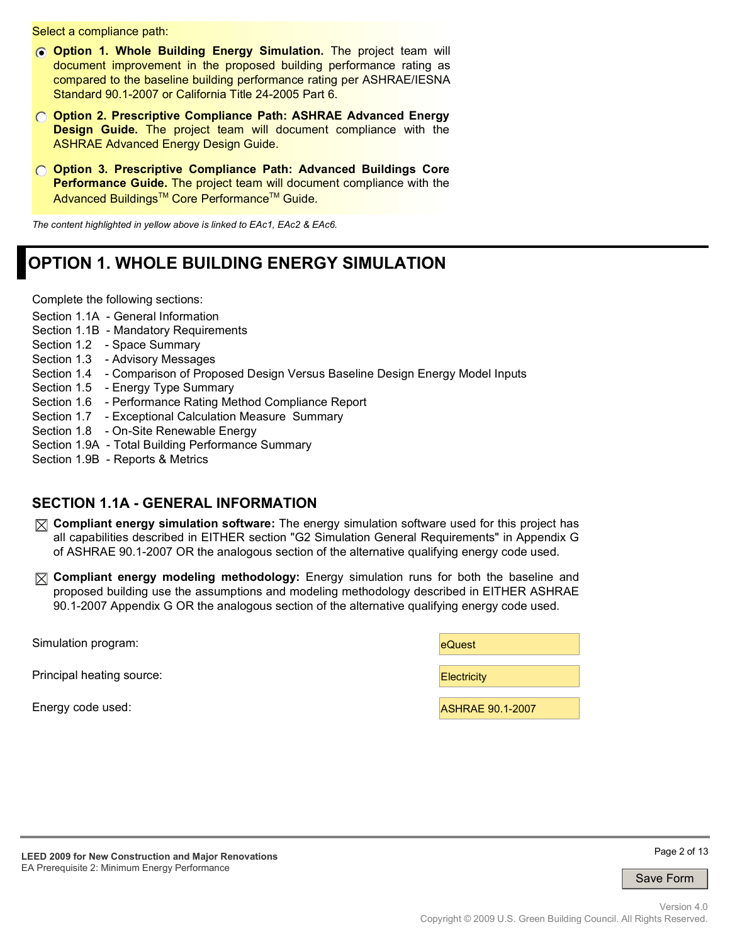Select a compliance path:

- *C* Option 1. Whole Building Energy Simulation. The project team will document improvement in the proposed building performance rating as compared to the baseline building performance rating per ASHRAE/IESNA Standard 90.1-2007 or California Title 24-2005 Part 6.
- **Option 2. Prescriptive Compliance Path: ASHRAE Advanced Energy Design Guide.** The project team will document compliance with the ASHRAE Advanced Energy Design Guide.
- **Option 3. Prescriptive Compliance Path: Advanced Buildings Core Performance Guide.** The project team will document compliance with the Advanced Buildings<sup>™</sup> Core Performance<sup>™</sup> Guide.

*The content highlighted in yellow above is linked to EAc1, EAc2 & EAc6.*

# **OPTION 1. WHOLE BUILDING ENERGY SIMULATION**

Complete the following sections:

- Section 1.1A General Information
- Section 1.1B Mandatory Requirements
- Section 1.2 Space Summary
- Section 1.3 Advisory Messages
- Section 1.4 Comparison of Proposed Design Versus Baseline Design Energy Model Inputs
- Section 1.5 Energy Type Summary
- Section 1.6 Performance Rating Method Compliance Report
- Section 1.7 Exceptional Calculation Measure Summary
- Section 1.8 On-Site Renewable Energy
- Section 1.9A Total Building Performance Summary
- Section 1.9B Reports & Metrics

#### **SECTION 1.1A - GENERAL INFORMATION**

- **Compliant energy simulation software:** The energy simulation software used for this project has all capabilities described in EITHER section "G2 Simulation General Requirements" in Appendix G of ASHRAE 90.1-2007 OR the analogous section of the alternative qualifying energy code used.
- **Compliant energy modeling methodology:** Energy simulation runs for both the baseline and proposed building use the assumptions and modeling methodology described in EITHER ASHRAE 90.1-2007 Appendix G OR the analogous section of the alternative qualifying energy code used.

| Simulation program:       | eQuest                  |
|---------------------------|-------------------------|
| Principal heating source: | <b>Electricity</b>      |
| Energy code used:         | <b>ASHRAE 90.1-2007</b> |



Page 2 of 13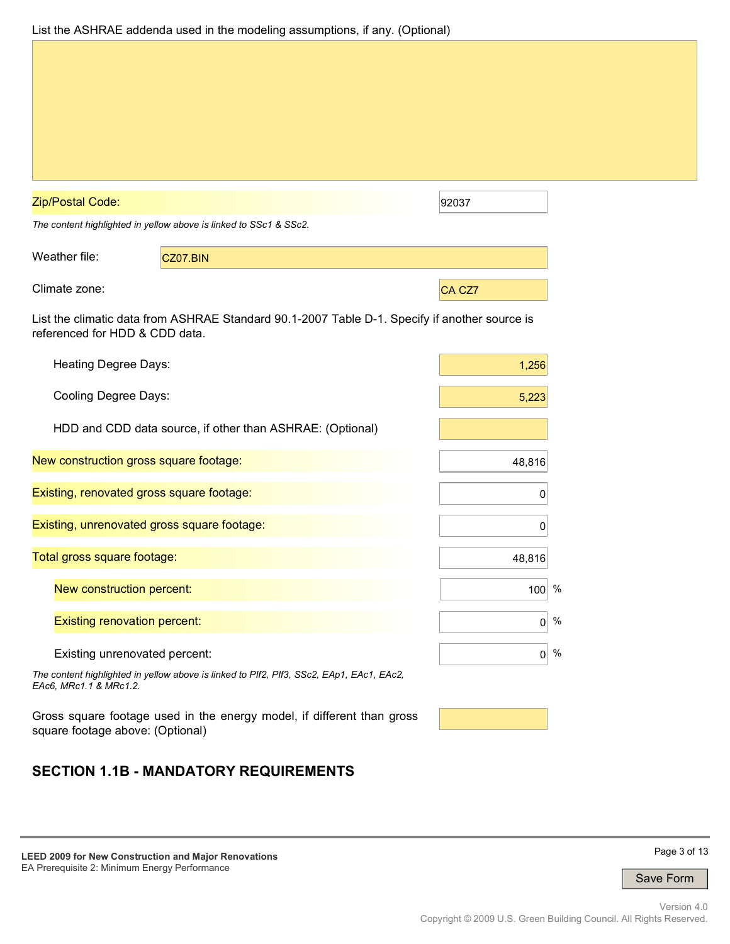| List the ASHRAE addenda used in the modeling assumptions, if any. (Optional) |  |  |  |  |  |  |  |
|------------------------------------------------------------------------------|--|--|--|--|--|--|--|
|------------------------------------------------------------------------------|--|--|--|--|--|--|--|

| Zip/Postal Code:                            |                                                                                               | 92037  |            |
|---------------------------------------------|-----------------------------------------------------------------------------------------------|--------|------------|
|                                             | The content highlighted in yellow above is linked to SSc1 & SSc2.                             |        |            |
| Weather file:                               | CZ07.BIN                                                                                      |        |            |
| Climate zone:                               |                                                                                               | CA CZ7 |            |
| referenced for HDD & CDD data.              | List the climatic data from ASHRAE Standard 90.1-2007 Table D-1. Specify if another source is |        |            |
| Heating Degree Days:                        |                                                                                               |        | 1,256      |
| Cooling Degree Days:                        |                                                                                               |        | 5,223      |
|                                             | HDD and CDD data source, if other than ASHRAE: (Optional)                                     |        |            |
| New construction gross square footage:      |                                                                                               |        | 48,816     |
| Existing, renovated gross square footage:   |                                                                                               |        | 0          |
| Existing, unrenovated gross square footage: |                                                                                               |        | 0          |
| Total gross square footage:                 |                                                                                               |        | 48,816     |
| New construction percent:                   |                                                                                               |        | $100^{96}$ |
| <b>Existing renovation percent:</b>         |                                                                                               |        | 0          |
| Existing unrenovated percent:               |                                                                                               |        | 0          |
| EAc6, MRc1.1 & MRc1.2.                      | The content highlighted in yellow above is linked to PIf2, PIf3, SSc2, EAp1, EAc1, EAc2,      |        |            |
|                                             | Gross square footage used in the energy model, if different than gross                        |        |            |

square footage above: (Optional)

# **SECTION 1.1B - MANDATORY REQUIREMENTS**

**LEED 2009 for New Construction and Major Renovations**  EA Prerequisite 2: Minimum Energy Performance

Page 3 of 13

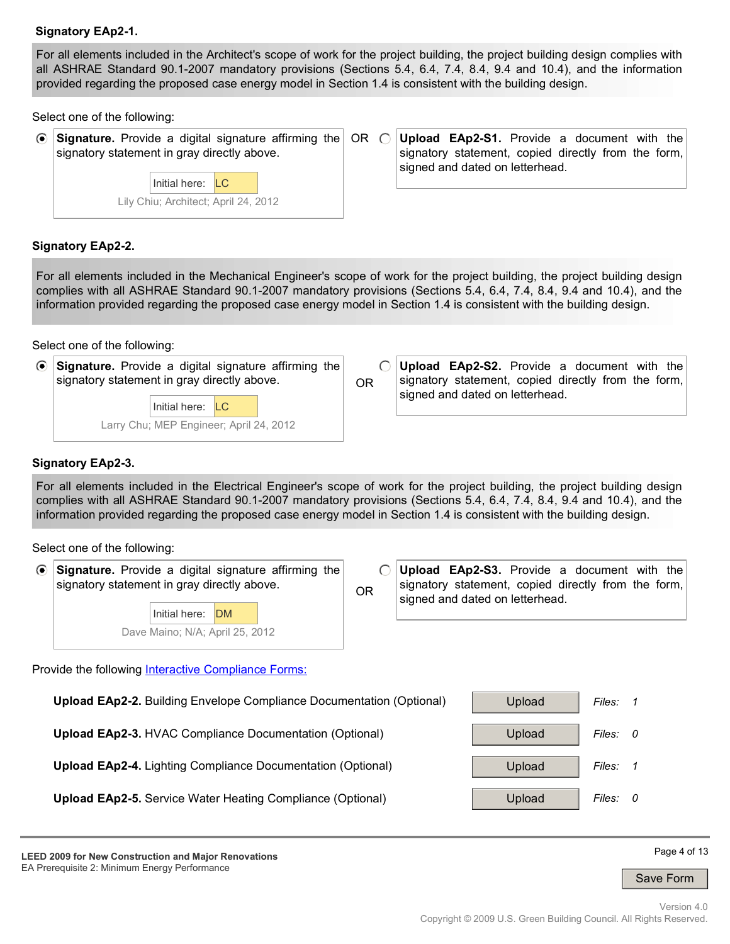#### **Signatory EAp2-1.**

For all elements included in the Architect's scope of work for the project building, the project building design complies with all ASHRAE Standard 90.1-2007 mandatory provisions (Sections 5.4, 6.4, 7.4, 8.4, 9.4 and 10.4), and the information provided regarding the proposed case energy model in Section 1.4 is consistent with the building design.

Select one of the following:

 $\odot$ **Signature.** Provide a digital signature affirming the signatory statement in gray directly above.



OR O **Upload EAp2-S1.** Provide a document with the signatory statement, copied directly from the form, signed and dated on letterhead.

#### **Signatory EAp2-2.**

For all elements included in the Mechanical Engineer's scope of work for the project building, the project building design complies with all ASHRAE Standard 90.1-2007 mandatory provisions (Sections 5.4, 6.4, 7.4, 8.4, 9.4 and 10.4), and the information provided regarding the proposed case energy model in Section 1.4 is consistent with the building design.

Select one of the following:

| • Signature. Provide a digital signature affirming the |  |  |  |
|--------------------------------------------------------|--|--|--|
| signatory statement in gray directly above.            |  |  |  |

Larry Chu; MEP Engineer; April 24, 2012 Initial here: LC

OR

 $\bigcap$ **Upload EAp2-S2.** Provide a document with the signatory statement, copied directly from the form, signed and dated on letterhead.

#### **Signatory EAp2-3.**

For all elements included in the Electrical Engineer's scope of work for the project building, the project building design complies with all ASHRAE Standard 90.1-2007 mandatory provisions (Sections 5.4, 6.4, 7.4, 8.4, 9.4 and 10.4), and the information provided regarding the proposed case energy model in Section 1.4 is consistent with the building design.

Select one of the following:

- $\odot$ **Signature.** Provide a digital signature affirming the signatory statement in gray directly above.
	- Dave Maino; N/A; April 25, 2012 Initial here: DM

 $\bigcap$ **Upload EAp2-S3.** Provide a document with the signatory statement, copied directly from the form, OR signed and dated on letterhead.

Provide the following Interactive Compliance Forms:



**LEED 2009 for New Construction and Major Renovations**  EA Prerequisite 2: Minimum Energy Performance

Page 4 of 13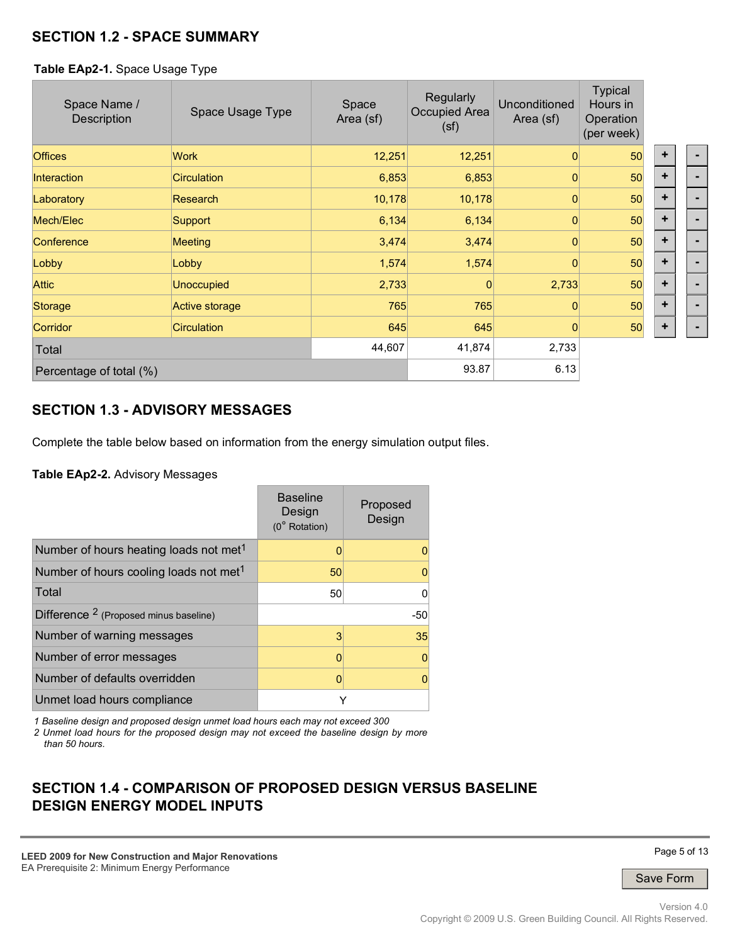### **SECTION 1.2 - SPACE SUMMARY**

#### **Table EAp2-1.** Space Usage Type

| Space Name /<br>Description | Space Usage Type   | Space<br>Area (sf) | Regularly<br>Occupied Area<br>(sf) | Unconditioned<br>Area (sf) | <b>Typical</b><br>Hours in<br>Operation<br>(per week) |           |  |
|-----------------------------|--------------------|--------------------|------------------------------------|----------------------------|-------------------------------------------------------|-----------|--|
| <b>Offices</b>              | Work               | 12,251             | 12,251                             | $\Omega$                   | 50                                                    | ٠         |  |
| Interaction                 | <b>Circulation</b> | 6,853              | 6,853                              | $\Omega$                   | 50                                                    | ٠         |  |
| Laboratory                  | Research           | 10,178             | 10,178                             | $\overline{0}$             | 50                                                    | ÷         |  |
| Mech/Elec                   | Support            | 6,134              | 6,134                              | 0                          | 50                                                    | $\ddot{}$ |  |
| Conference                  | <b>Meeting</b>     | 3,474              | 3,474                              | $\Omega$                   | 50                                                    | ٠         |  |
| Lobby                       | Lobby              | 1,574              | 1,574                              | $\mathbf{0}$               | 50                                                    | ÷         |  |
| <b>Attic</b>                | <b>Unoccupied</b>  | 2,733              |                                    | 2,733                      | 50                                                    | $\ddot{}$ |  |
| Storage                     | Active storage     | 765                | 765                                | $\Omega$                   | 50                                                    | $\ddot{}$ |  |
| <b>Corridor</b>             | <b>Circulation</b> | 645                | 645                                | 0                          | 50                                                    | ٠         |  |
| Total                       |                    | 44,607             | 41,874                             | 2,733                      |                                                       |           |  |
| Percentage of total (%)     |                    |                    | 93.87                              | 6.13                       |                                                       |           |  |

## **SECTION 1.3 - ADVISORY MESSAGES**

Complete the table below based on information from the energy simulation output files.

**Table EAp2-2.** Advisory Messages

|                                                    | <b>Baseline</b><br>Design<br>(0° Rotation) | Proposed<br>Design |
|----------------------------------------------------|--------------------------------------------|--------------------|
| Number of hours heating loads not met <sup>1</sup> |                                            | O                  |
| Number of hours cooling loads not met <sup>1</sup> | 50                                         | 0                  |
| Total                                              | 50                                         | 0                  |
| Difference <sup>2</sup> (Proposed minus baseline)  |                                            | $-50$              |
| Number of warning messages                         | 3                                          | 35                 |
| Number of error messages                           | ი                                          | $\mathbf 0$        |
| Number of defaults overridden                      |                                            | 0                  |
| Unmet load hours compliance                        | Y                                          |                    |

*1 Baseline design and proposed design unmet load hours each may not exceed 300* 

*2 Unmet load hours for the proposed design may not exceed the baseline design by more than 50 hours.*

## **SECTION 1.4 - COMPARISON OF PROPOSED DESIGN VERSUS BASELINE DESIGN ENERGY MODEL INPUTS**

**LEED 2009 for New Construction and Major Renovations**  EA Prerequisite 2: Minimum Energy Performance

Page 5 of 13

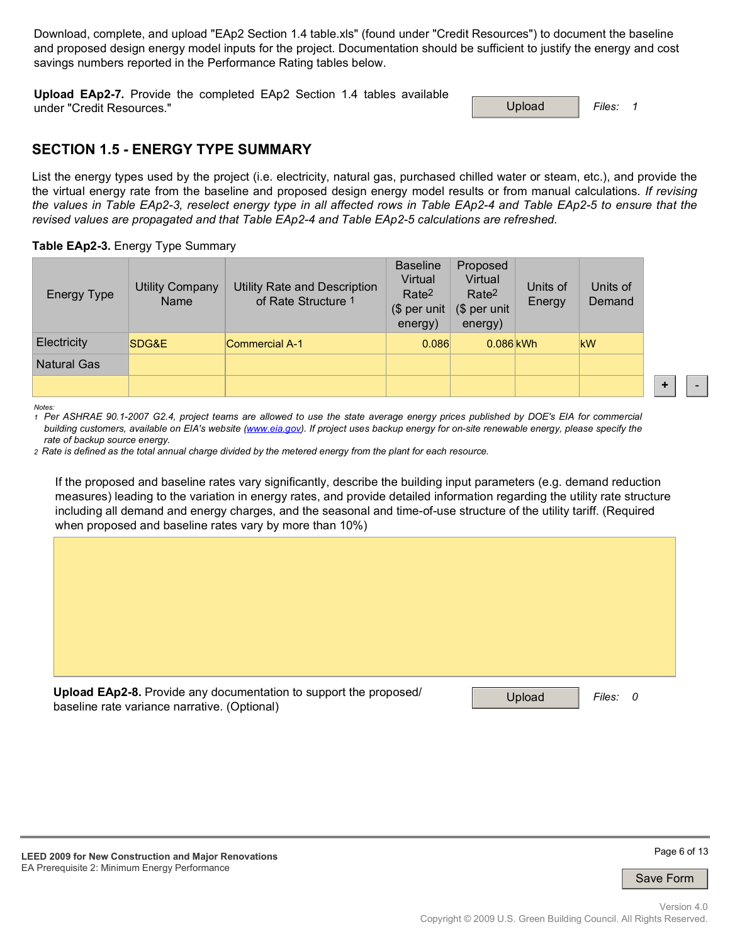Download, complete, and upload "EAp2 Section 1.4 table.xls" (found under "Credit Resources") to document the baseline and proposed design energy model inputs for the project. Documentation should be sufficient to justify the energy and cost savings numbers reported in the Performance Rating tables below.

**Upload EAp2-7.** Provide the completed EAp2 Section 1.4 tables available under "Credit Resources." 
and the second of the second of the second of the second of the second of the second of the second of the second of the second of the second of the second of the second of the second of the secon

#### **SECTION 1.5 - ENERGY TYPE SUMMARY**

List the energy types used by the project (i.e. electricity, natural gas, purchased chilled water or steam, etc.), and provide the the virtual energy rate from the baseline and proposed design energy model results or from manual calculations. *If revising the values in Table EAp2-3, reselect energy type in all affected rows in Table EAp2-4 and Table EAp2-5 to ensure that the revised values are propagated and that Table EAp2-4 and Table EAp2-5 calculations are refreshed.*

|  |  | Table EAp2-3. Energy Type Summary |
|--|--|-----------------------------------|
|  |  |                                   |

| <b>Energy Type</b> | <b>Utility Company</b><br>Name | <b>Utility Rate and Description</b><br>of Rate Structure 1 | <b>Baseline</b><br>Virtual<br>Rate <sup>2</sup><br>(\$ per unit<br>energy) | Proposed<br>Virtual<br>Rate <sup>2</sup><br>$$$ per unit<br>energy) | Units of<br>Energy | Units of<br>Demand |
|--------------------|--------------------------------|------------------------------------------------------------|----------------------------------------------------------------------------|---------------------------------------------------------------------|--------------------|--------------------|
| Electricity        | SDG&E                          | <b>Commercial A-1</b>                                      | 0.086                                                                      | $0.086$ kWh                                                         |                    | kW                 |
| <b>Natural Gas</b> |                                |                                                            |                                                                            |                                                                     |                    |                    |
|                    |                                |                                                            |                                                                            |                                                                     |                    |                    |

*Notes:* 

*1 Per ASHRAE 90.1-2007 G2.4, project teams are allowed to use the state average energy prices published by DOE's EIA for commercial building customers, available on EIA's website (www.eia.gov). If project uses backup energy for on-site renewable energy, please specify the rate of backup source energy.* 

*2 Rate is defined as the total annual charge divided by the metered energy from the plant for each resource.*

If the proposed and baseline rates vary significantly, describe the building input parameters (e.g. demand reduction measures) leading to the variation in energy rates, and provide detailed information regarding the utility rate structure including all demand and energy charges, and the seasonal and time-of-use structure of the utility tariff. (Required when proposed and baseline rates vary by more than 10%)

| Upload EAp2-8. Provide any documentation to support the proposed/<br>baseline rate variance narrative. (Optional) | Upload<br>Files:<br>- 0 |
|-------------------------------------------------------------------------------------------------------------------|-------------------------|

**LEED 2009 for New Construction and Major Renovations**  EA Prerequisite 2: Minimum Energy Performance



**+** -

Save Form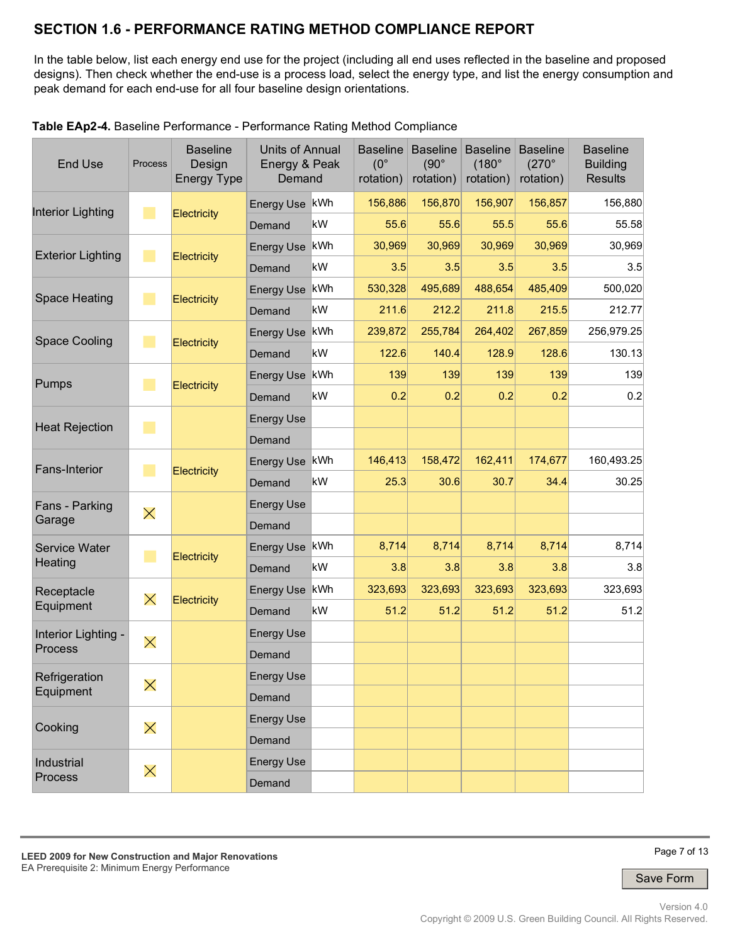## **SECTION 1.6 - PERFORMANCE RATING METHOD COMPLIANCE REPORT**

In the table below, list each energy end use for the project (including all end uses reflected in the baseline and proposed designs). Then check whether the end-use is a process load, select the energy type, and list the energy consumption and peak demand for each end-use for all four baseline design orientations.

| <b>End Use</b>           | <b>Process</b> | <b>Baseline</b><br>Design<br><b>Energy Type</b> |                   | <b>Units of Annual</b><br>Energy & Peak<br>Demand |         |         |         |         |            | <b>Baseline</b><br>$(90^\circ$<br>rotation) | <b>Baseline</b><br>$(180^\circ$<br>rotation) | <b>Baseline</b><br>$(270^\circ$<br>rotation) | <b>Baseline</b><br><b>Building</b><br><b>Results</b> |
|--------------------------|----------------|-------------------------------------------------|-------------------|---------------------------------------------------|---------|---------|---------|---------|------------|---------------------------------------------|----------------------------------------------|----------------------------------------------|------------------------------------------------------|
| <b>Interior Lighting</b> | m,             |                                                 | <b>Energy Use</b> | kWh                                               | 156.886 | 156,870 | 156,907 | 156,857 | 156,880    |                                             |                                              |                                              |                                                      |
|                          |                | Electricity                                     | Demand            | kW                                                | 55.6    | 55.6    | 55.5    | 55.6    | 55.58      |                                             |                                              |                                              |                                                      |
| <b>Exterior Lighting</b> | ٠              |                                                 | <b>Energy Use</b> | kWh                                               | 30,969  | 30,969  | 30,969  | 30,969  | 30,969     |                                             |                                              |                                              |                                                      |
|                          |                | <b>Electricity</b>                              | Demand            | kW                                                | 3.5     | 3.5     | 3.5     | 3.5     | 3.5        |                                             |                                              |                                              |                                                      |
| <b>Space Heating</b>     | a.             |                                                 | <b>Energy Use</b> | kWh                                               | 530,328 | 495,689 | 488,654 | 485,409 | 500,020    |                                             |                                              |                                              |                                                      |
|                          |                | <b>Electricity</b>                              | Demand            | kW                                                | 211.6   | 212.2   | 211.8   | 215.5   | 212.77     |                                             |                                              |                                              |                                                      |
| <b>Space Cooling</b>     | a.             |                                                 | <b>Energy Use</b> | kWh                                               | 239,872 | 255,784 | 264,402 | 267,859 | 256,979.25 |                                             |                                              |                                              |                                                      |
|                          |                | <b>Electricity</b>                              | Demand            | kW                                                | 122.6   | 140.4   | 128.9   | 128.6   | 130.13     |                                             |                                              |                                              |                                                      |
| Pumps                    | a.             |                                                 | <b>Energy Use</b> | kWh                                               | 139     | 139     | 139     | 139     | 139        |                                             |                                              |                                              |                                                      |
|                          |                | <b>Electricity</b>                              | Demand            | kW                                                | 0.2     | 0.2     | 0.2     | 0.2     | 0.2        |                                             |                                              |                                              |                                                      |
| <b>Heat Rejection</b>    | a.             |                                                 | <b>Energy Use</b> |                                                   |         |         |         |         |            |                                             |                                              |                                              |                                                      |
|                          |                |                                                 | Demand            |                                                   |         |         |         |         |            |                                             |                                              |                                              |                                                      |
| <b>Fans-Interior</b>     | ٠              |                                                 | Energy Use        | kWh                                               | 146,413 | 158,472 | 162,411 | 174,677 | 160,493.25 |                                             |                                              |                                              |                                                      |
|                          |                | Electricity                                     | Demand            | kW                                                | 25.3    | 30.6    | 30.7    | 34.4    | 30.25      |                                             |                                              |                                              |                                                      |
| Fans - Parking           | $\times$       |                                                 | <b>Energy Use</b> |                                                   |         |         |         |         |            |                                             |                                              |                                              |                                                      |
| Garage                   |                |                                                 | Demand            |                                                   |         |         |         |         |            |                                             |                                              |                                              |                                                      |
| <b>Service Water</b>     | a.             |                                                 | Energy Use        | kWh                                               | 8,714   | 8,714   | 8,714   | 8,714   | 8,714      |                                             |                                              |                                              |                                                      |
| Heating                  |                | <b>Electricity</b>                              | Demand            | kW                                                | 3.8     | 3.8     | 3.8     | 3.8     | 3.8        |                                             |                                              |                                              |                                                      |
| Receptacle               | $\times$       | Electricity                                     | <b>Energy Use</b> | kWh                                               | 323,693 | 323,693 | 323,693 | 323,693 | 323,693    |                                             |                                              |                                              |                                                      |
| Equipment                |                |                                                 | Demand            | kW                                                | 51.2    | 51.2    | 51.2    | 51.2    | 51.2       |                                             |                                              |                                              |                                                      |
| Interior Lighting -      | $\times$       |                                                 | <b>Energy Use</b> |                                                   |         |         |         |         |            |                                             |                                              |                                              |                                                      |
| <b>Process</b>           |                |                                                 | Demand            |                                                   |         |         |         |         |            |                                             |                                              |                                              |                                                      |
| Refrigeration            | $\times$       |                                                 | <b>Energy Use</b> |                                                   |         |         |         |         |            |                                             |                                              |                                              |                                                      |
| Equipment                |                |                                                 | Demand            |                                                   |         |         |         |         |            |                                             |                                              |                                              |                                                      |
| Cooking                  | $\times$       |                                                 | <b>Energy Use</b> |                                                   |         |         |         |         |            |                                             |                                              |                                              |                                                      |
|                          |                |                                                 | Demand            |                                                   |         |         |         |         |            |                                             |                                              |                                              |                                                      |
| Industrial               | $\times$       |                                                 | <b>Energy Use</b> |                                                   |         |         |         |         |            |                                             |                                              |                                              |                                                      |
| Process                  |                |                                                 | Demand            |                                                   |         |         |         |         |            |                                             |                                              |                                              |                                                      |

**Table EAp2-4.** Baseline Performance - Performance Rating Method Compliance

Page 7 of 13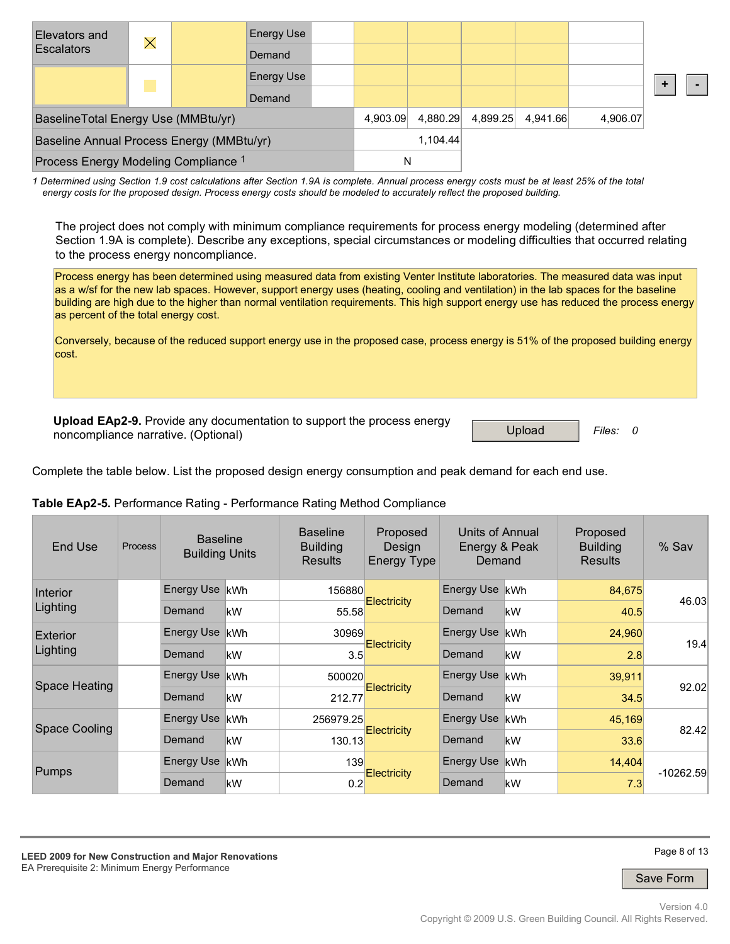| Elevators and<br><b>Escalators</b>        | $\times$ |  | Energy Use        |          |          |          |          |          |          |  |
|-------------------------------------------|----------|--|-------------------|----------|----------|----------|----------|----------|----------|--|
|                                           |          |  | Demand            |          |          |          |          |          |          |  |
|                                           |          |  | <b>Energy Use</b> |          |          |          |          |          |          |  |
|                                           |          |  | Demand            |          |          |          |          |          |          |  |
| BaselineTotal Energy Use (MMBtu/yr)       |          |  |                   |          | 4,903.09 | 4,880.29 | 4,899.25 | 4,941.66 | 4,906.07 |  |
| Baseline Annual Process Energy (MMBtu/yr) |          |  |                   | 1,104.44 |          |          |          |          |          |  |
| Process Energy Modeling Compliance 1      |          |  |                   | N        |          |          |          |          |          |  |

*1 Determined using Section 1.9 cost calculations after Section 1.9A is complete. Annual process energy costs must be at least 25% of the total energy costs for the proposed design. Process energy costs should be modeled to accurately reflect the proposed building.*

The project does not comply with minimum compliance requirements for process energy modeling (determined after Section 1.9A is complete). Describe any exceptions, special circumstances or modeling difficulties that occurred relating to the process energy noncompliance.

Process energy has been determined using measured data from existing Venter Institute laboratories. The measured data was input as a w/sf for the new lab spaces. However, support energy uses (heating, cooling and ventilation) in the lab spaces for the baseline building are high due to the higher than normal ventilation requirements. This high support energy use has reduced the process energy as percent of the total energy cost.

Conversely, because of the reduced support energy use in the proposed case, process energy is 51% of the proposed building energy cost.

**Upload EAp2-9.** Provide any documentation to support the process energy noncompliance narrative. (Optional) updated and process of the second process of the Upload **Files:** 0

Complete the table below. List the proposed design energy consumption and peak demand for each end use.

| Table EAp2-5. Performance Rating - Performance Rating Method Compliance |  |  |  |
|-------------------------------------------------------------------------|--|--|--|
|                                                                         |  |  |  |

| End Use       | Process | <b>Baseline</b><br><b>Building Units</b> |            | <b>Baseline</b><br><b>Building</b><br><b>Results</b> | Proposed<br>Design<br><b>Energy Type</b> | Units of Annual<br>Energy & Peak<br>Demand |            | Proposed<br><b>Building</b><br><b>Results</b> | % Sav       |
|---------------|---------|------------------------------------------|------------|------------------------------------------------------|------------------------------------------|--------------------------------------------|------------|-----------------------------------------------|-------------|
| Interior      |         | <b>Energy Use</b>                        | <b>kWh</b> | 156880                                               |                                          | Energy Use                                 | <b>kWh</b> | 84,675                                        | 46.03       |
| Lighting      |         | Demand                                   | kW         | 55.58                                                | <b>Electricity</b>                       | Demand                                     | kW         | 40.5                                          |             |
| Exterior      |         | <b>Energy Use</b>                        | kWh        | 30969                                                | <b>Electricity</b>                       | <b>Energy Use</b>                          | <b>kWh</b> | 24,960                                        | 19.4        |
| Lighting      |         | Demand                                   | kW         | 3.5                                                  |                                          | Demand                                     | kW         | 2.8                                           |             |
| Space Heating |         | <b>Energy Use</b>                        | lkWh       | 500020                                               |                                          | <b>Energy Use</b>                          | <b>kWh</b> | 39,911                                        | 92.02       |
|               |         | Demand                                   | kW         | 212.77                                               | <b>Electricity</b>                       | Demand                                     | kW         | 34.5                                          |             |
|               |         | <b>Energy Use</b>                        | <b>kWh</b> | 256979.25                                            |                                          | Energy Use                                 | <b>kWh</b> | 45,169                                        | 82.42       |
| Space Cooling |         | Demand                                   | kW         | 130.13                                               | <b>Electricity</b>                       | Demand                                     | kW         | 33.6                                          |             |
| <b>Pumps</b>  |         | <b>Energy Use</b>                        | <b>kWh</b> | 139                                                  |                                          | Energy Use                                 | <b>kWh</b> | 14,404                                        |             |
|               |         | Demand                                   | kW         | 0.2                                                  | <b>Electricity</b>                       | Demand                                     | kW         | 7.3                                           | $-10262.59$ |

**LEED 2009 for New Construction and Major Renovations**  EA Prerequisite 2: Minimum Energy Performance

Page 8 of 13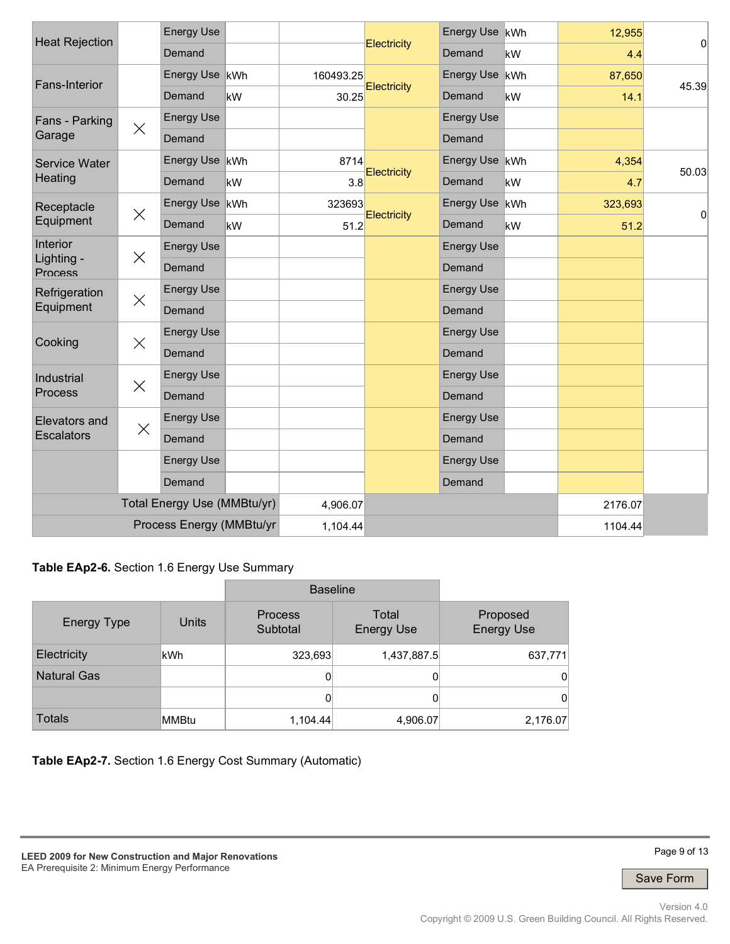| <b>Heat Rejection</b>        |          | <b>Energy Use</b>           |    |           |             | Energy Use kWh    |     | 12,955  |                |
|------------------------------|----------|-----------------------------|----|-----------|-------------|-------------------|-----|---------|----------------|
|                              |          | Demand                      |    |           | Electricity | Demand            | kW  | 4.4     | $\overline{0}$ |
| Fans-Interior                |          | Energy Use kWh              |    | 160493.25 |             | Energy Use kWh    |     | 87,650  | 45.39          |
|                              |          | Demand                      | kW | 30.25     | Electricity | Demand            | kW  | 14.1    |                |
| Fans - Parking               | $\times$ | <b>Energy Use</b>           |    |           |             | <b>Energy Use</b> |     |         |                |
| Garage                       |          | Demand                      |    |           |             | Demand            |     |         |                |
| Service Water                |          | Energy Use kWh              |    | 8714      | Electricity | Energy Use kWh    |     | 4,354   | 50.03          |
| Heating                      |          | Demand                      | kW | 3.8       |             | Demand            | kW  | 4.7     |                |
| Receptacle                   | $\times$ | Energy Use kWh              |    | 323693    | Electricity | Energy Use        | kWh | 323,693 | $\overline{0}$ |
| Equipment                    |          | Demand                      | kW | 51.2      |             | Demand            | kW  | 51.2    |                |
| Interior                     | $\times$ | <b>Energy Use</b>           |    |           |             | <b>Energy Use</b> |     |         |                |
| Lighting -<br><b>Process</b> |          | Demand                      |    |           |             | Demand            |     |         |                |
| Refrigeration                | $\times$ | <b>Energy Use</b>           |    |           |             | <b>Energy Use</b> |     |         |                |
| Equipment                    |          | Demand                      |    |           |             | Demand            |     |         |                |
| Cooking                      | $\times$ | <b>Energy Use</b>           |    |           |             | <b>Energy Use</b> |     |         |                |
|                              |          | Demand                      |    |           |             | Demand            |     |         |                |
| Industrial                   | $\times$ | <b>Energy Use</b>           |    |           |             | <b>Energy Use</b> |     |         |                |
| <b>Process</b>               |          | Demand                      |    |           |             | Demand            |     |         |                |
| Elevators and                | $\times$ | <b>Energy Use</b>           |    |           |             | <b>Energy Use</b> |     |         |                |
| <b>Escalators</b>            |          | Demand                      |    |           |             | Demand            |     |         |                |
|                              |          | <b>Energy Use</b>           |    |           |             | <b>Energy Use</b> |     |         |                |
|                              |          | Demand                      |    |           |             | Demand            |     |         |                |
|                              |          | Total Energy Use (MMBtu/yr) |    | 4,906.07  |             |                   |     | 2176.07 |                |
|                              |          | Process Energy (MMBtu/yr    |    | 1,104.44  |             |                   |     | 1104.44 |                |

**Table EAp2-6.** Section 1.6 Energy Use Summary

|                    |       | <b>Baseline</b>            |                            |                               |
|--------------------|-------|----------------------------|----------------------------|-------------------------------|
| <b>Energy Type</b> | Units | <b>Process</b><br>Subtotal | Total<br><b>Energy Use</b> | Proposed<br><b>Energy Use</b> |
| Electricity        | kWh   | 323,693                    | 1,437,887.5                | 637,771                       |
| <b>Natural Gas</b> |       |                            | 0                          | 0                             |
|                    |       |                            | 0                          | 0                             |
| <b>Totals</b>      | MMBtu | 1,104.44                   | 4,906.07                   | 2,176.07                      |

**Table EAp2-7.** Section 1.6 Energy Cost Summary (Automatic)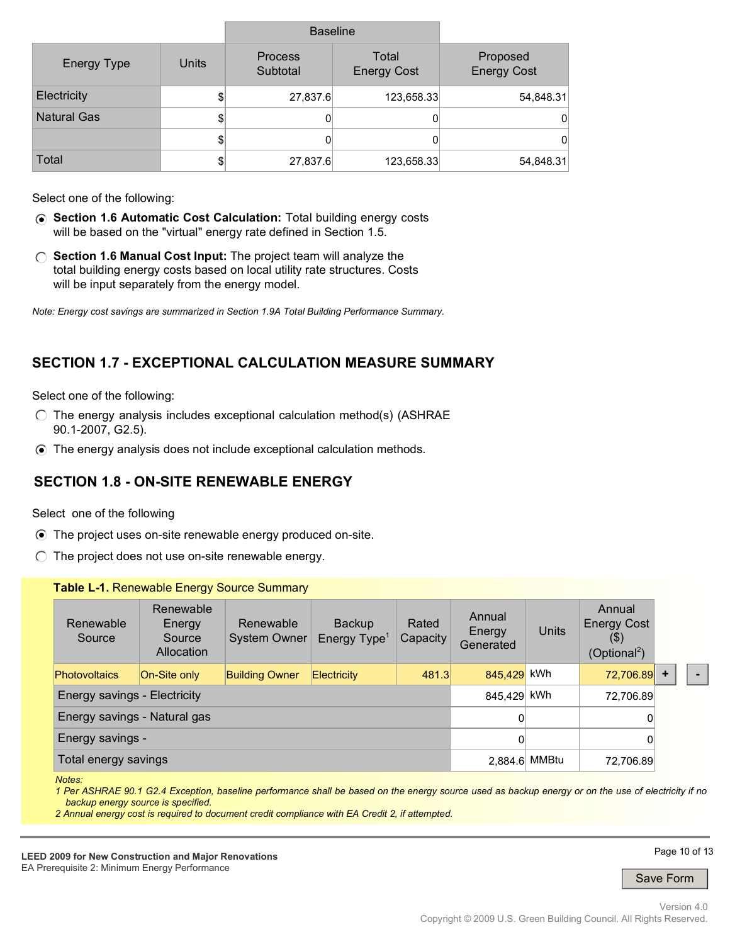|                    |       | <b>Baseline</b>            |                             |                                |
|--------------------|-------|----------------------------|-----------------------------|--------------------------------|
| <b>Energy Type</b> | Units | <b>Process</b><br>Subtotal | Total<br><b>Energy Cost</b> | Proposed<br><b>Energy Cost</b> |
| Electricity        | \$    | 27,837.6                   | 123,658.33                  | 54,848.31                      |
| <b>Natural Gas</b> | \$    |                            | 0                           | 0                              |
|                    | \$    |                            | 0                           | 0                              |
| Total              | \$    | 27,837.6                   | 123,658.33                  | 54,848.31                      |

Select one of the following:

- **Section 1.6 Automatic Cost Calculation:** Total building energy costs will be based on the "virtual" energy rate defined in Section 1.5.
- **Section 1.6 Manual Cost Input:** The project team will analyze the total building energy costs based on local utility rate structures. Costs will be input separately from the energy model.

*Note: Energy cost savings are summarized in Section 1.9A Total Building Performance Summary.*

## **SECTION 1.7 - EXCEPTIONAL CALCULATION MEASURE SUMMARY**

Select one of the following:

- $\bigcirc$  The energy analysis includes exceptional calculation method(s) (ASHRAE 90.1-2007, G2.5).
- The energy analysis does not include exceptional calculation methods.

#### **SECTION 1.8 - ON-SITE RENEWABLE ENERGY**

Select one of the following

- The project uses on-site renewable energy produced on-site.
- $\bigcirc$  The project does not use on-site renewable energy.

|                              |                                                                                     | Table L-1. Renewable Energy Source Summary |                                           |                   |                               |              |                                                                     |           |  |
|------------------------------|-------------------------------------------------------------------------------------|--------------------------------------------|-------------------------------------------|-------------------|-------------------------------|--------------|---------------------------------------------------------------------|-----------|--|
| Renewable<br>Source          | Renewable<br>Energy<br>Source<br>Allocation                                         | Renewable<br>System Owner                  | <b>Backup</b><br>Energy Type <sup>1</sup> | Rated<br>Capacity | Annual<br>Energy<br>Generated | <b>Units</b> | Annual<br><b>Energy Cost</b><br>$($ \$)<br>(Optional <sup>2</sup> ) |           |  |
| <b>Photovoltaics</b>         | 845,429 kWh<br>481.3<br>On-Site only<br><b>Building Owner</b><br><b>Electricity</b> |                                            |                                           |                   |                               |              | 72,706.89                                                           | $\ddot{}$ |  |
| Energy savings - Electricity |                                                                                     |                                            |                                           |                   | 845,429 kWh                   |              | 72,706.89                                                           |           |  |
| Energy savings - Natural gas | 0                                                                                   |                                            | 0                                         |                   |                               |              |                                                                     |           |  |
| Energy savings -             |                                                                                     | 0                                          |                                           | 0                 |                               |              |                                                                     |           |  |
| Total energy savings         |                                                                                     | 2,884.6 MMBtu                              | 72,706.89                                 |                   |                               |              |                                                                     |           |  |

*Notes:* 

*1 Per ASHRAE 90.1 G2.4 Exception, baseline performance shall be based on the energy source used as backup energy or on the use of electricity if no backup energy source is specified.* 

*2 Annual energy cost is required to document credit compliance with EA Credit 2, if attempted.*

**LEED 2009 for New Construction and Major Renovations**  EA Prerequisite 2: Minimum Energy Performance

Page 10 of 13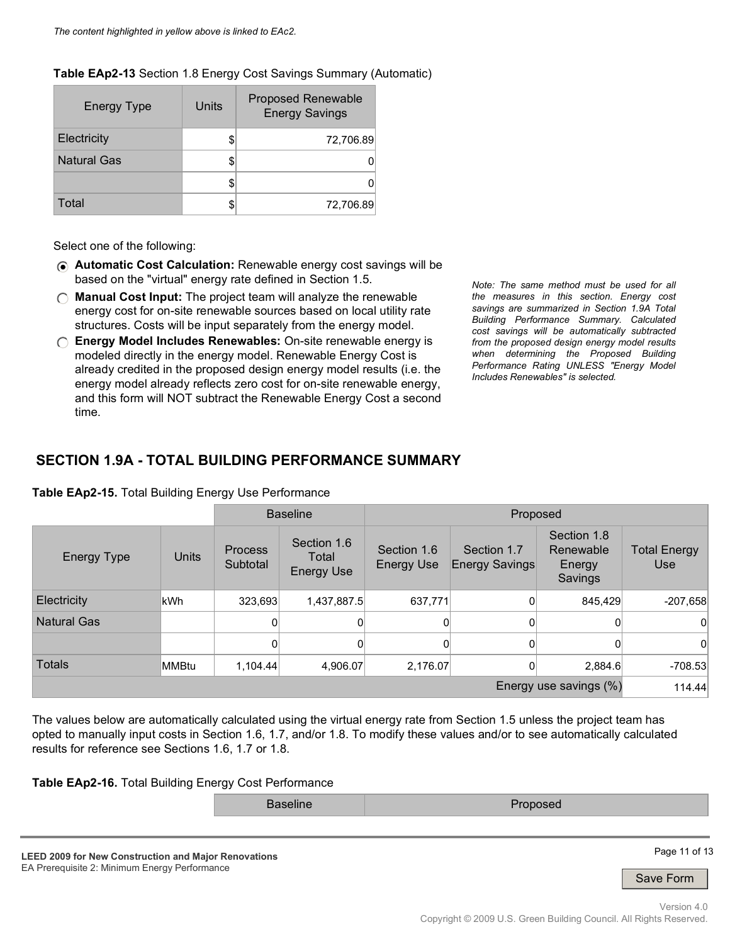#### **Table EAp2-13** Section 1.8 Energy Cost Savings Summary (Automatic)

| <b>Energy Type</b> | Units | <b>Proposed Renewable</b><br><b>Energy Savings</b> |
|--------------------|-------|----------------------------------------------------|
| Electricity        |       | 72,706.89                                          |
| <b>Natural Gas</b> |       |                                                    |
|                    |       |                                                    |
| Total              |       | 72,706.89                                          |

Select one of the following:

- **Automatic Cost Calculation:** Renewable energy cost savings will be based on the "virtual" energy rate defined in Section 1.5.
- **Manual Cost Input:** The project team will analyze the renewable energy cost for on-site renewable sources based on local utility rate structures. Costs will be input separately from the energy model.
- **Energy Model Includes Renewables:** On-site renewable energy is modeled directly in the energy model. Renewable Energy Cost is already credited in the proposed design energy model results (i.e. the energy model already reflects zero cost for on-site renewable energy, and this form will NOT subtract the Renewable Energy Cost a second time.

*Note: The same method must be used for all the measures in this section. Energy cost savings are summarized in Section 1.9A Total Building Performance Summary. Calculated cost savings will be automatically subtracted from the proposed design energy model results when determining the Proposed Building Performance Rating UNLESS "Energy Model Includes Renewables" is selected.*

### **SECTION 1.9A - TOTAL BUILDING PERFORMANCE SUMMARY**

|                        |       | <b>Baseline</b>            |                                           | Proposed                         |                                      |                                               |                                   |
|------------------------|-------|----------------------------|-------------------------------------------|----------------------------------|--------------------------------------|-----------------------------------------------|-----------------------------------|
| <b>Energy Type</b>     | Units | <b>Process</b><br>Subtotal | Section 1.6<br>Total<br><b>Energy Use</b> | Section 1.6<br><b>Energy Use</b> | Section 1.7<br><b>Energy Savings</b> | Section 1.8<br>Renewable<br>Energy<br>Savings | <b>Total Energy</b><br><b>Use</b> |
| Electricity            | kWh   | 323,693                    | 1,437,887.5                               | 637,771                          | 0                                    | 845.429                                       | $-207,658$                        |
| <b>Natural Gas</b>     |       | 0                          | 0                                         | 0                                | 0                                    | 0                                             | $\Omega$                          |
|                        |       | 0                          | 0                                         | 0                                | 0                                    | 0                                             | $\Omega$                          |
| <b>Totals</b>          | MMBtu | 1.104.44                   | 4,906.07                                  | 2,176.07                         | 0                                    | 2,884.6                                       | $-708.53$                         |
| Energy use savings (%) |       |                            |                                           |                                  |                                      |                                               |                                   |

**Table EAp2-15.** Total Building Energy Use Performance

The values below are automatically calculated using the virtual energy rate from Section 1.5 unless the project team has opted to manually input costs in Section 1.6, 1.7, and/or 1.8. To modify these values and/or to see automatically calculated results for reference see Sections 1.6, 1.7 or 1.8.

**Table EAp2-16.** Total Building Energy Cost Performance

Baseline **Proposed** 

**LEED 2009 for New Construction and Major Renovations**  EA Prerequisite 2: Minimum Energy Performance

Page 11 of 13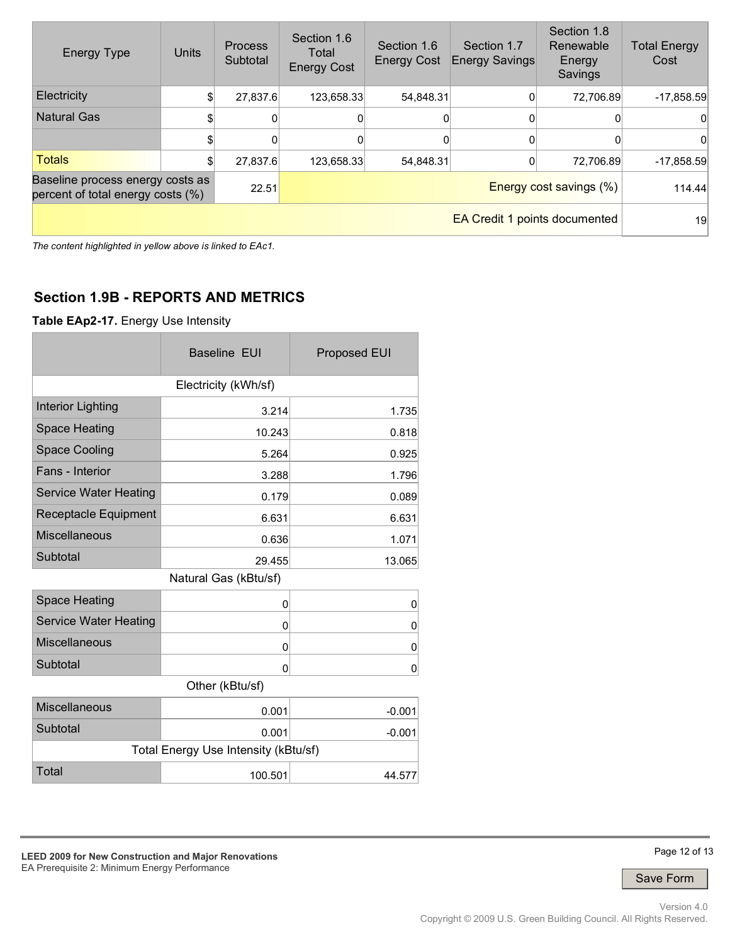| <b>Energy Type</b>                                                    | Units | <b>Process</b><br>Subtotal | Section 1.6<br>Total<br><b>Energy Cost</b> | Section 1.6<br><b>Energy Cost</b> | Section 1.7<br><b>Energy Savings</b> | Section 1.8<br>Renewable<br>Energy<br>Savings | <b>Total Energy</b><br>Cost |
|-----------------------------------------------------------------------|-------|----------------------------|--------------------------------------------|-----------------------------------|--------------------------------------|-----------------------------------------------|-----------------------------|
| Electricity                                                           |       | 27,837.6                   | 123,658.33                                 | 54,848.31                         |                                      | 72,706.89                                     | $-17,858.59$                |
| <b>Natural Gas</b>                                                    |       | 0                          | 0                                          |                                   |                                      |                                               |                             |
|                                                                       |       |                            |                                            |                                   |                                      |                                               |                             |
| <b>Totals</b>                                                         |       | 27.837.6                   | 123,658.33                                 | 54,848.31                         |                                      | 72,706.89                                     | $-17,858.59$                |
| Baseline process energy costs as<br>percent of total energy costs (%) |       | 22.51                      |                                            | <b>Energy cost savings (%)</b>    |                                      |                                               | 114.44                      |
|                                                                       |       |                            |                                            |                                   |                                      | <b>EA Credit 1 points documented</b>          | 19                          |

*The content highlighted in yellow above is linked to EAc1.*

## **Section 1.9B - REPORTS AND METRICS**

**Table EAp2-17.** Energy Use Intensity

|                              | <b>Baseline EUI</b>                  | <b>Proposed EUI</b> |  |  |  |  |  |  |  |
|------------------------------|--------------------------------------|---------------------|--|--|--|--|--|--|--|
| Electricity (kWh/sf)         |                                      |                     |  |  |  |  |  |  |  |
| <b>Interior Lighting</b>     | 3.214                                | 1.735               |  |  |  |  |  |  |  |
| <b>Space Heating</b>         | 10.243                               | 0.818               |  |  |  |  |  |  |  |
| <b>Space Cooling</b>         | 5.264                                | 0.925               |  |  |  |  |  |  |  |
| Fans - Interior              | 3.288                                | 1.796               |  |  |  |  |  |  |  |
| <b>Service Water Heating</b> | 0.179                                | 0.089               |  |  |  |  |  |  |  |
| Receptacle Equipment         | 6.631                                | 6.631               |  |  |  |  |  |  |  |
| <b>Miscellaneous</b>         | 0.636                                | 1.071               |  |  |  |  |  |  |  |
| Subtotal                     | 29.455                               | 13.065              |  |  |  |  |  |  |  |
|                              | Natural Gas (kBtu/sf)                |                     |  |  |  |  |  |  |  |
| <b>Space Heating</b>         | 0                                    | 0                   |  |  |  |  |  |  |  |
| <b>Service Water Heating</b> | 0                                    | 0                   |  |  |  |  |  |  |  |
| Miscellaneous                | 0                                    | 0                   |  |  |  |  |  |  |  |
| Subtotal                     | 0                                    | 0                   |  |  |  |  |  |  |  |
|                              | Other (kBtu/sf)                      |                     |  |  |  |  |  |  |  |
| <b>Miscellaneous</b>         | 0.001                                | $-0.001$            |  |  |  |  |  |  |  |
| Subtotal                     | 0.001                                | $-0.001$            |  |  |  |  |  |  |  |
|                              | Total Energy Use Intensity (kBtu/sf) |                     |  |  |  |  |  |  |  |
| Total                        | 100.501                              | 44.577              |  |  |  |  |  |  |  |

**LEED 2009 for New Construction and Major Renovations**  EA Prerequisite 2: Minimum Energy Performance

Page 12 of 13